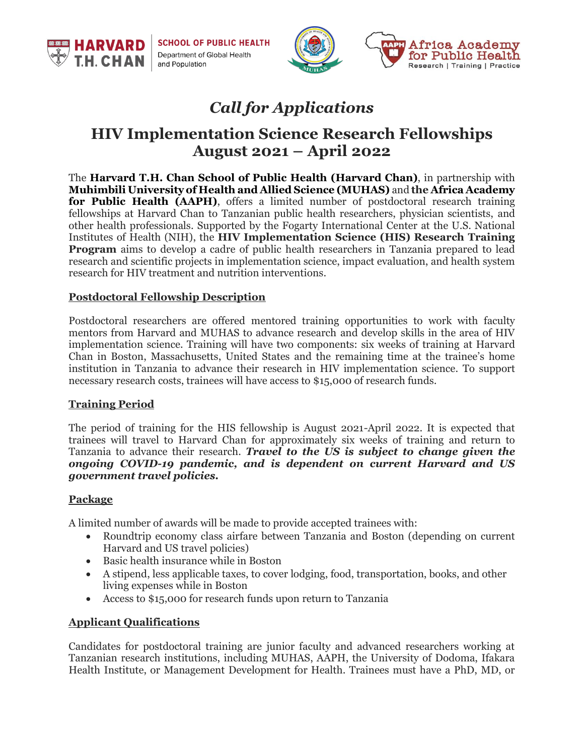**SCHOOL OF PUBLIC HEALTH** Department of Global Health and Population



# *Call for Applications*

## **HIV Implementation Science Research Fellowships August 2021 – April 2022**

The **Harvard T.H. Chan School of Public Health (Harvard Chan)**, in partnership with **Muhimbili University of Health and Allied Science (MUHAS)** and **the Africa Academy for Public Health (AAPH)**, offers a limited number of postdoctoral research training fellowships at Harvard Chan to Tanzanian public health researchers, physician scientists, and other health professionals. Supported by the Fogarty International Center at the U.S. National Institutes of Health (NIH), the **HIV Implementation Science (HIS) Research Training Program** aims to develop a cadre of public health researchers in Tanzania prepared to lead research and scientific projects in implementation science, impact evaluation, and health system research for HIV treatment and nutrition interventions.

#### **Postdoctoral Fellowship Description**

Postdoctoral researchers are offered mentored training opportunities to work with faculty mentors from Harvard and MUHAS to advance research and develop skills in the area of HIV implementation science. Training will have two components: six weeks of training at Harvard Chan in Boston, Massachusetts, United States and the remaining time at the trainee's home institution in Tanzania to advance their research in HIV implementation science. To support necessary research costs, trainees will have access to \$15,000 of research funds.

#### **Training Period**

**HARVARD** 

**CH.CHAN** 

The period of training for the HIS fellowship is August 2021-April 2022. It is expected that trainees will travel to Harvard Chan for approximately six weeks of training and return to Tanzania to advance their research. *Travel to the US is subject to change given the ongoing COVID-19 pandemic, and is dependent on current Harvard and US government travel policies.*

#### **Package**

A limited number of awards will be made to provide accepted trainees with:

- Roundtrip economy class airfare between Tanzania and Boston (depending on current Harvard and US travel policies)
- Basic health insurance while in Boston
- A stipend, less applicable taxes, to cover lodging, food, transportation, books, and other living expenses while in Boston
- Access to \$15,000 for research funds upon return to Tanzania

### **Applicant Qualifications**

Candidates for postdoctoral training are junior faculty and advanced researchers working at Tanzanian research institutions, including MUHAS, AAPH, the University of Dodoma, Ifakara Health Institute, or Management Development for Health. Trainees must have a PhD, MD, or